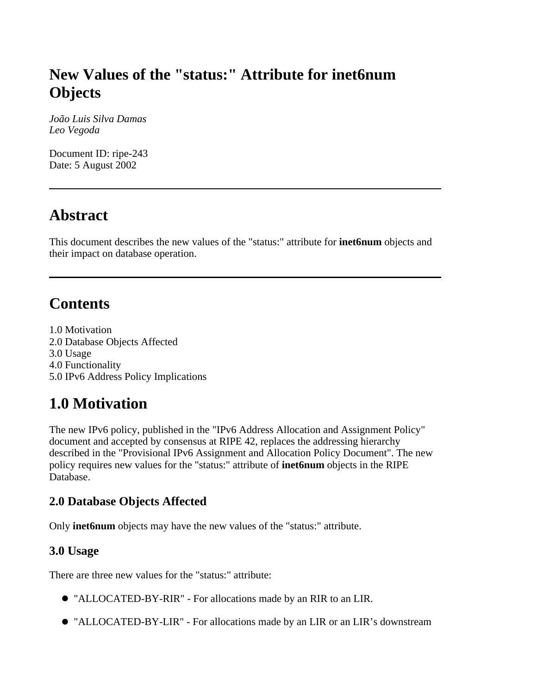# **New Values of the "status:" Attribute for inet6num Objects**

*João Luis Silva Damas Leo Vegoda*

Document ID: ripe-243 Date: 5 August 2002

## **Abstract**

This document describes the new values of the "status:" attribute for **inet6num** objects and their impact on database operation.

## **Contents**

1.0 Motivation 2.0 Database Objects Affected 3.0 Usage 4.0 Functionality 5.0 IPv6 Address Policy Implications

# **1.0 Motivation**

The new IPv6 policy, published in the "IPv6 Address Allocation and Assignment Policy" document and accepted by consensus at RIPE 42, replaces the addressing hierarchy described in the "Provisional IPv6 Assignment and Allocation Policy Document". The new policy requires new values for the "status:" attribute of **inet6num** objects in the RIPE Database.

### **2.0 Database Objects Affected**

Only **inet6num** objects may have the new values of the "status:" attribute.

### **3.0 Usage**

There are three new values for the "status:" attribute:

- "ALLOCATED-BY-RIR" For allocations made by an RIR to an LIR.
- "ALLOCATED-BY-LIR" For allocations made by an LIR or an LIR's downstream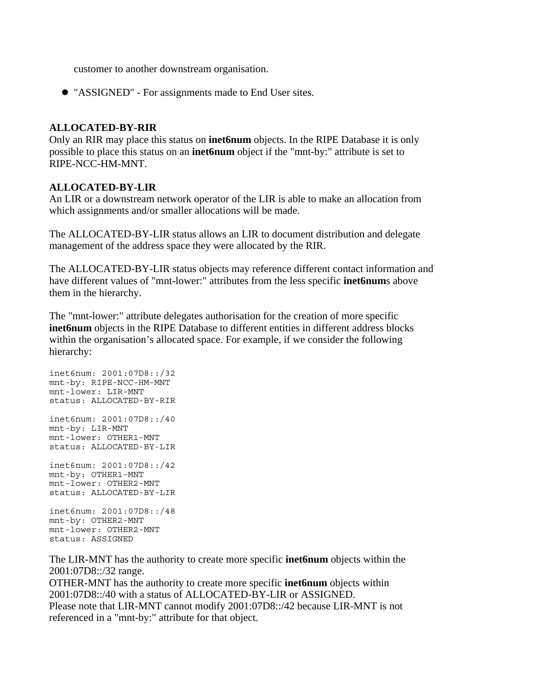customer to another downstream organisation.

"ASSIGNED" - For assignments made to End User sites.

#### **ALLOCATED-BY-RIR**

Only an RIR may place this status on **inet6num** objects. In the RIPE Database it is only possible to place this status on an **inet6num** object if the "mnt-by:" attribute is set to RIPE-NCC-HM-MNT.

#### **ALLOCATED-BY-LIR**

An LIR or a downstream network operator of the LIR is able to make an allocation from which assignments and/or smaller allocations will be made.

The ALLOCATED-BY-LIR status allows an LIR to document distribution and delegate management of the address space they were allocated by the RIR.

The ALLOCATED-BY-LIR status objects may reference different contact information and have different values of "mnt-lower:" attributes from the less specific **inet6num**s above them in the hierarchy.

The "mnt-lower:" attribute delegates authorisation for the creation of more specific **inet6num** objects in the RIPE Database to different entities in different address blocks within the organisation's allocated space. For example, if we consider the following hierarchy:

inet6num: 2001:07D8::/32 mnt-by: RIPE-NCC-HM-MNT mnt-lower: LIR-MNT status: ALLOCATED-BY-RIR inet6num: 2001:07D8::/40 mnt-by: LIR-MNT mnt-lower: OTHER1-MNT status: ALLOCATED-BY-LIR inet6num: 2001:07D8::/42 mnt-by: OTHER1-MNT mnt-lower: OTHER2-MNT status: ALLOCATED-BY-LIR inet6num: 2001:07D8::/48

mnt-by: OTHER2-MNT mnt-lower: OTHER2-MNT status: ASSIGNED

The LIR-MNT has the authority to create more specific **inet6num** objects within the 2001:07D8::/32 range.

OTHER-MNT has the authority to create more specific **inet6num** objects within 2001:07D8::/40 with a status of ALLOCATED-BY-LIR or ASSIGNED. Please note that LIR-MNT cannot modify 2001:07D8::/42 because LIR-MNT is not referenced in a "mnt-by:" attribute for that object.